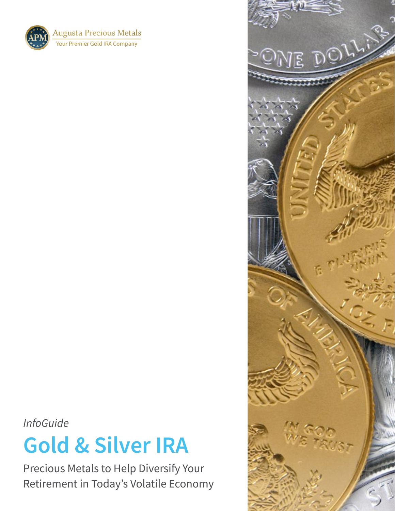**Augusta Precious Metals Your Premier Gold IRA Company** 

*InfoGuide*

# **Gold & Silver IRA**

Precious Metals to Help Diversify Your Retirement in Today's Volatile Economy

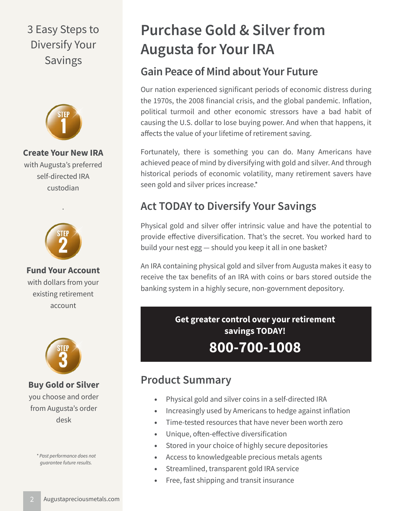# 3 Easy Steps to Diversify Your Savings



**Create Your New IRA** with Augusta's preferred self-directed IRA custodian



.

**Fund Your Account** with dollars from your existing retirement account



**Buy Gold or Silver** you choose and order from Augusta's order desk

*\* Past performance does not guarantee future results.*

# **Purchase Gold & Silver from Augusta for Your IRA**

# **Gain Peace of Mind about Your Future**

Our nation experienced significant periods of economic distress during the 1970s, the 2008 financial crisis, and the global pandemic. Inflation, political turmoil and other economic stressors have a bad habit of causing the U.S. dollar to lose buying power. And when that happens, it affects the value of your lifetime of retirement saving.

Fortunately, there is something you can do. Many Americans have achieved peace of mind by diversifying with gold and silver. And through historical periods of economic volatility, many retirement savers have seen gold and silver prices increase.\*

# **Act TODAY to Diversify Your Savings**

Physical gold and silver offer intrinsic value and have the potential to provide effective diversification. That's the secret. You worked hard to build your nest egg — should you keep it all in one basket?

An IRA containing physical gold and silver from Augusta makes it easy to receive the tax benefits of an IRA with coins or bars stored outside the banking system in a highly secure, non-government depository.

> **Get greater control over your retirement savings TODAY! 800-700-1008**

## **Product Summary**

- Physical gold and silver coins in a self-directed IRA
- Increasingly used by Americans to hedge against inflation
- Time-tested resources that have never been worth zero
- Unique, often-effective diversification
- Stored in your choice of highly secure depositories
- Access to knowledgeable precious metals agents
- Streamlined, transparent gold IRA service
- Free, fast shipping and transit insurance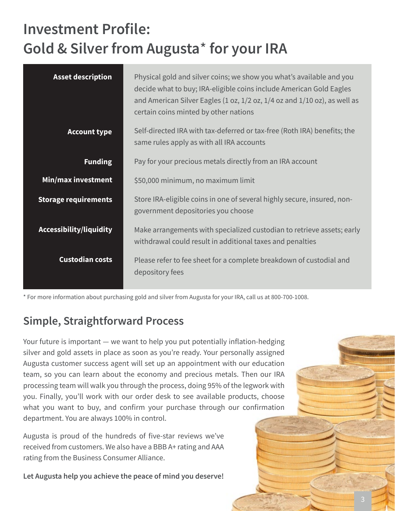# **Investment Profile: Gold & Silver from Augusta**\* **for your IRA**

| <b>Asset description</b>    | Physical gold and silver coins; we show you what's available and you<br>decide what to buy; IRA-eligible coins include American Gold Eagles<br>and American Silver Eagles (1 oz, $1/2$ oz, $1/4$ oz and $1/10$ oz), as well as<br>certain coins minted by other nations |
|-----------------------------|-------------------------------------------------------------------------------------------------------------------------------------------------------------------------------------------------------------------------------------------------------------------------|
| <b>Account type</b>         | Self-directed IRA with tax-deferred or tax-free (Roth IRA) benefits; the<br>same rules apply as with all IRA accounts                                                                                                                                                   |
| <b>Funding</b>              | Pay for your precious metals directly from an IRA account                                                                                                                                                                                                               |
| Min/max investment          | \$50,000 minimum, no maximum limit                                                                                                                                                                                                                                      |
| <b>Storage requirements</b> | Store IRA-eligible coins in one of several highly secure, insured, non-<br>government depositories you choose                                                                                                                                                           |
| Accessibility/liquidity     | Make arrangements with specialized custodian to retrieve assets; early<br>withdrawal could result in additional taxes and penalties                                                                                                                                     |
| <b>Custodian costs</b>      | Please refer to fee sheet for a complete breakdown of custodial and<br>depository fees                                                                                                                                                                                  |

\* For more information about purchasing gold and silver from Augusta for your IRA, call us at 800-700-1008.

## **Simple, Straightforward Process**

Your future is important — we want to help you put potentially inflation-hedging silver and gold assets in place as soon as you're ready. Your personally assigned Augusta customer success agent will set up an appointment with our education team, so you can learn about the economy and precious metals. Then our IRA processing team will walk you through the process, doing 95% of the legwork with you. Finally, you'll work with our order desk to see available products, choose what you want to buy, and confirm your purchase through our confirmation department. You are always 100% in control.

Augusta is proud of the hundreds of five-star reviews we've received from customers. We also have a BBB A+ rating and AAA rating from the Business Consumer Alliance.

**Let Augusta help you achieve the peace of mind you deserve!**